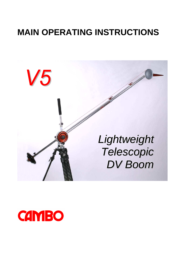# **MAIN OPERATING INSTRUCTIONS**



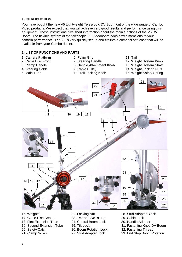#### **1. INTRODUCTION**

You have bought the new V5 Lightweight Telescopic DV Boom out of the wide range of Cambo Video products. We expect that you will achieve very good results and performance using this equipment. These instructions give short information about the main functions of the V5 DV Boom. The flexible system of the telescopic V5 Videoboom adds new dimensions to your camera performance. The V5 is very quickly set up and fits into a compact soft case that will be available from your Cambo dealer.

#### **2. LIST OF FUNCTIONS AND PARTS**

- 1. Camera Platform
- 2. Cable Disc Front
- 3. Clamp Handle
- 4. Steering Cable
- 5. Main Tube
- 6. Foam Grip
- 7. Steering Handle
- 8. Handle Attachment Knob
- 9. Cable Pulley 10. Tail Locking Knob
- 11. Tail
- 12. Weight System Knob
- 13. Weight System Shaft
- 14. Weight Locking Nuts
- 15. Weight Safety Spring



- 16. Weights
- 17. Cable Disc Central
- 18. First Extension Tube
- 19. Second Extension Tube
- 20. Safety Catch
- 21. Clamp Screw
- 22. Locking Nut
- 23. 1/4" and 3/8" studs
- 24. Central Boom Lock
- 25. Tilt Lock
- 26. Boom Rotation Lock
- 27. Stud Adapter Lock
- 28. Stud Adapter Block
- 29. Cable Lock
- 30. Handle Adapter
- 31. Fastening Knob DV Boom
- 32. Fastening Thread
- 33. End Stop Boom Rotation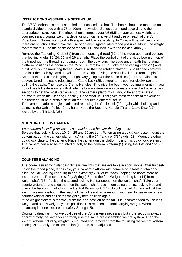#### **INSTRUCTIONS ASSEMBLY & SETTING UP**

The V5 Videoboom is pre assembled and supplied in a box. The boom should be mounted on a standard video tripod with a 75 or 100mm bowl size. Set up your tripod according to the appropriate instructions. The tripod should support your V5 (5,5kg), your camera weight and your necessary counterweights, depending on camera weight and use of reach of the V5 Videoboom. Normally a tripod with a specified load capacity up to 20 kg will be sufficient and there are situations that make the use of an even lighter video tripod possible. Mount the weight system shaft (13) to the backside of the tail (11) and lock it with the locking knob (12).

Remove the Fastening Knob (31) from the mounting thread (32) of the video boom and be sure that locking knobs 10, 24, 25 and 26 are tight. Place the central unit of the video boom on top of the tripod with the thread (32) going through the bowl cup. The edge underneath the rotating platform positions the boom on the 75 or 100-mm bowl cup. Take the fastening knob (31) and put it back on the mounting thread. Make sure that the rotation platform is positioned correctly and lock the knob by hand. Level the Boom / Tripod using the spirit level in the rotation platform. See to it that the cable is going the right way going over the cable discs (2, 17, see also pictures above). Unroll the cable releasing the Cable Lock (29, several turns counter-clockwise) and pulling the cable. Then use the Clamp Handles (3) to give the boom your optimum length. If you do not use full extension length divide the boom extension approximately over the two extension sections to get the most stable set-up. The camera platform (1) should be approximately horizontal when the Steering Handle (7) is vertical up. This gives most freedom of movement but there could be a certain situation that requires a different set up.

The camera platform angle is adjusted releasing the Cable lock (29) again while holding and adjusting the Cable Pulley (9) by hand. Keep the Steering Handle (7) and Cable Disc (17) locked by the Tilt Lock (25).

#### **MOUNTING THE DV CAMERA**

Your camera including accessories should not be heavier than 3kg totally. Be sure that locking knobs 10, 24, 25 and 26 are tight. When using a quick lock plate, mount the bottom part on the camera platform (1) using the 1/4" and / or 3/8" studs (23). Mount the other quick lock plate to the camera. Place the camera on the platform using this quick lock system. The camera can also be mounted directly to the camera platform (1) using the 1/4" and / or 3/8" studs (23).

#### **COUNTER BALANCING**

The boom is used with standard 'fitness' weights that are available in sport shops. After first setup on the tripod place, If possible, your camera platform with camera on a table or chair and slide the Tail (locking knob 10) to approximately 70% of its reach keeping the boom more or less horizontal. Remove the safety Spring (15) and the first Weight Locking Nut (14) from the weight shaft (13). Position the second locking Nut far enough on the weight shaft. Take your counterweight(s) and slide them on the weight shaft. Lock them using the first locking Nut and check the balancing unlocking the Central Boom Lock (24). Unlock the tail (10) and adjust the weight system position. If the reach of the tail is not large enough you need to use more or less counterweights and adjust the weight system position again.

If the weight system is far away from the end-position of the tail, it is recommended to use less weight and a new weight system position. This reduces the total carrying weight. When balancing is done replace the safety Spring (15).

Counter balancing in non-vertical use of the V5 is always necessary but if the set up is always approximately the same you normally use the same pre assembled weight system. Then the weight system including weights is mounted and removed from the tail using the weight system knob (12) and only the tail extension (10) has to be adjusted.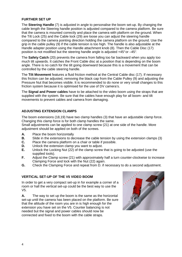#### **FURTHER SET UP**

The **Steering Handle** (7) is adjusted in angle to personalise the boom set-up. By changing the cable length the Steering handle position is adjusted compared to the camera platform. Be sure that the camera is mounted correctly and place the camera with platform on the ground. When the Tilt Lock (25) and the Cable lock (29) are loose you can adjust the steering handle compared to the camera pointing direction holding the camera platform on the ground. Use the grip in the cable pulley (9) if the cable tension is too high. The handle is also adjustable at the Handle adapter position using the Handle attachment knob (8). Then the Cable Disc (17) position is not modified but the steering handle angle is adjusted +45° or –45°.

The **Safety Catch** (20) prevents the camera from falling too far backward when you apply too much tilt upwards. It catches the Front Cable disc at a position that is depending on the boom angle. There is no catch for the tilt going downward because this is a movement that can be controlled by the cable steering handle.

The **Tilt Movement** features a fluid friction method at the Central Cable disc (17). If necessary this friction can be adjusted, removing the black cap from the Cable Pulley (9) and adjusting the Pressure Nut that becomes visible. It is recommended to do none or very small changes to this friction system because it is optimised for the use of DV camera's.

The **Signal and Power cables** have to be attached to the video boom using the straps that are supplied with the system. Be sure that the cables have enough play for all boom- and tilt movements to prevent cables and camera from damaging.

#### **ADJUSTING EXTENSION CLAMPS**

The boom extensions (18,19) have two clamp handles (3) that have an adjustable clamp force. Changing this clamp force is for both clamp handles the same.

Small adjustments can be applied to one clamp screw (21) at one side of the handle. More adjustment should be applied on both of the screws.

- **A.** Place the boom horizontally
- **B.** Slide in the extensions to decrease the cable tension by using the extension clamps (3)
- **C.** Place the camera platform on a chair or table if possible.
- **D.** Unlock the extension clamp you want to adjust.
- **E.** Unlock the Locking Nut (22) of the clamp screw that is going to be adjusted (use the supplied tools).
- **F.** Adjust the Clamp screw (21) with approximately half a turn counter-clockwise to increase Clamping Force and lock with the Nut (22) again.
- **G.** Check the Clamping Force and repeat from D. if necessary to do a second adjustment.

#### **VERTICAL SET-UP OF THE V5 VIDEO BOOM**

In order to get a very compact set-up in for example a corner of a room or hall the vertical set-up could be the best way to use the V5.

**A.** The way to set up the boom is the same as the horizontal set-up until the camera has been placed on the platform. Be sure that the altitude of the room you are in is high enough for the extension you have set on the V5. Counter balancing is not needed but the signal and power cables should now be connected and fixed to the boom with the cable straps.

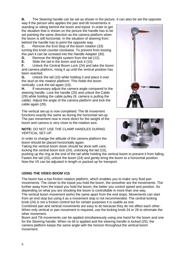**B.** The Steering handle can be set as shown in the picture. It can also be set the opposite

way if the person who applies the pan and tilt movements is standing or sitting behind the boom and tripod. In order to get the situation that is shown on the picture the handle has to be set pointing the same direction as the camera platform when the boom is still horizontal. In the situation of steering from behind the handle has to point the opposite way.

**C.** Remove the End Stop of the boom rotation (33) turning this knob counter-clockwise. To prevent from loosing this part it can be screwed into the Handle Adapter (30).

**D.** Remove the Weight system from the tail (12).

**E.** Slide the tail in the boom and lock it (10).

**F.** Unlock the Central Boom Lock (24) and take the boom and camera platform, rising it up until the vertical position has been reached.

**G.** Unlock the tail (10) while holding it and place it over the stud on the rotation platform. This holds the boom vertically. Lock the tail again (10).

**H.** If necessary adjust the camera angle compared to the steering handle. Lock the handle (25) and unlock the Cable (29) while holding the cable pulley (9, camera is pulling the cable). Adjust the angle of the camera platform and lock the cable again (29).

The vertical set-up is now completed. The tilt movement functions exactly the same as during the horizontal set-up. The pan movement now is more direct for the weight of the boom and camera is very close to the rotation axis.

**NOTE:** DO NOT USE THE CLAMP HANDLES DURING VERTICAL SET-UP.

In order to change the altitude of the camera platform the boom should be placed horizontally again.

Taking the vertical boom down should be done with care, locking the central boom lock (24), unlocking the tail (10),

pushing up the ring at the end of the tail while holding the vertical boom to prevent it from falling. Fasten the tail (10), unlock the boom (24) and gently bring the boom to a horizontal position. Now the V5 can be adjusted in length or packed up for transport.

### **USING THE VIDEO BOOM V15**

The boom has a low friction rotation platform, which enables you to make very fluid pan movements. The closer to the tripod you hold the boom, the smoother are the movements. The further away from the tripod you hold the boom, the better you control speed and position. So depending on what you are shooting the boom is controllable in more than one way. The vertical boom movement works the same apart from the end stops. Movements can start from an end stop but using it as a movement stop is not recommended. The central locking knob (24) is not a friction control but for certain purposes it is usable as one.

Combined pan and vertical movements are easy to do because they do not affect each other. When only vertical or pan movement is required, use the locking knob 24 or 26 to eliminate the other movement.

Boom and Tilt movements can be applied simultaneously using one hand for the boom and one for the Steering handle. When no tilt is applied and the steering handle is locked (25), the camera platform keeps the same angle with the horizon throughout the vertical boom movement.